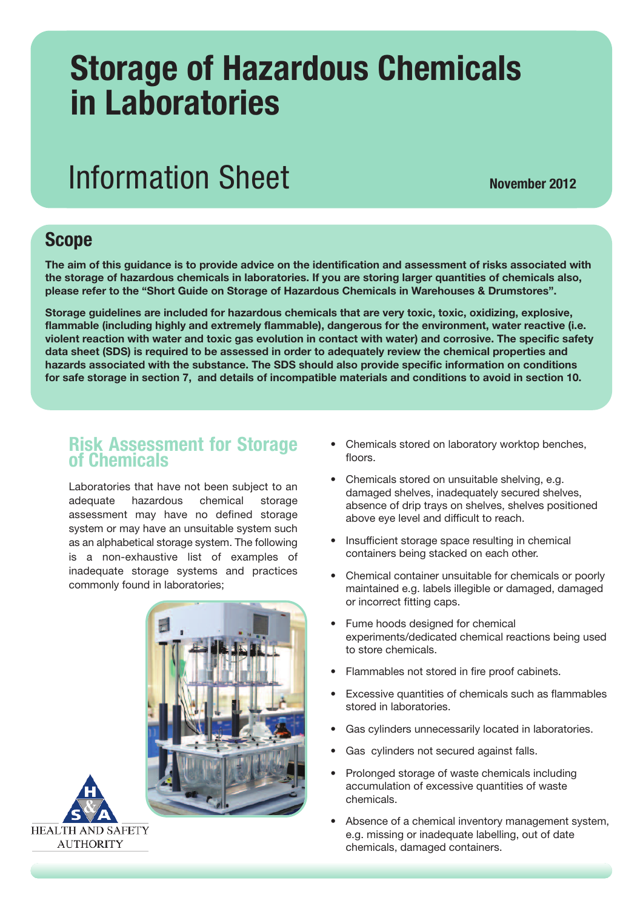# **Storage of Hazardous Chemicals in Laboratories**

# **Information Sheet November** 2012

### **Scope**

The aim of this guidance is to provide advice on the identification and assessment of risks associated with **the storage of hazardous chemicals in laboratories. If you are storing larger quantities of chemicals also, please refer to the "Short Guide on Storage of Hazardous Chemicals in Warehouses & Drumstores".**

**Storage guidelines are included for hazardous chemicals that are very toxic, toxic, oxidizing, explosive, flammable (including highly and extremely flammable), dangerous for the environment, water reactive (i.e.** violent reaction with water and toxic gas evolution in contact with water) and corrosive. The specific safety **data sheet (SDS) is required to be assessed in order to adequately review the chemical properties and hazards associated with the substance. The SDS should also provide specific information on conditions** for safe storage in section 7, and details of incompatible materials and conditions to avoid in section 10.

#### **Risk Assessment for Storage of Chemicals**

Laboratories that have not been subject to an adequate hazardous chemical storage assessment may have no defined storage system or may have an unsuitable system such as an alphabetical storage system. The following is a non-exhaustive list of examples of inadequate storage systems and practices commonly found in laboratories;





- Chemicals stored on laboratory worktop benches, floors.
- Chemicals stored on unsuitable shelving, e.g. damaged shelves, inadequately secured shelves, absence of drip trays on shelves, shelves positioned above eye level and difficult to reach.
- Insufficient storage space resulting in chemical containers being stacked on each other.
- Chemical container unsuitable for chemicals or poorly maintained e.g. labels illegible or damaged, damaged or incorrect fitting caps.
- Fume hoods designed for chemical experiments/dedicated chemical reactions being used to store chemicals.
- Flammables not stored in fire proof cabinets.
- Excessive quantities of chemicals such as flammables stored in laboratories.
- Gas cylinders unnecessarily located in laboratories.
- Gas cylinders not secured against falls.
- Prolonged storage of waste chemicals including accumulation of excessive quantities of waste chemicals.
- Absence of a chemical inventory management system, e.g. missing or inadequate labelling, out of date chemicals, damaged containers.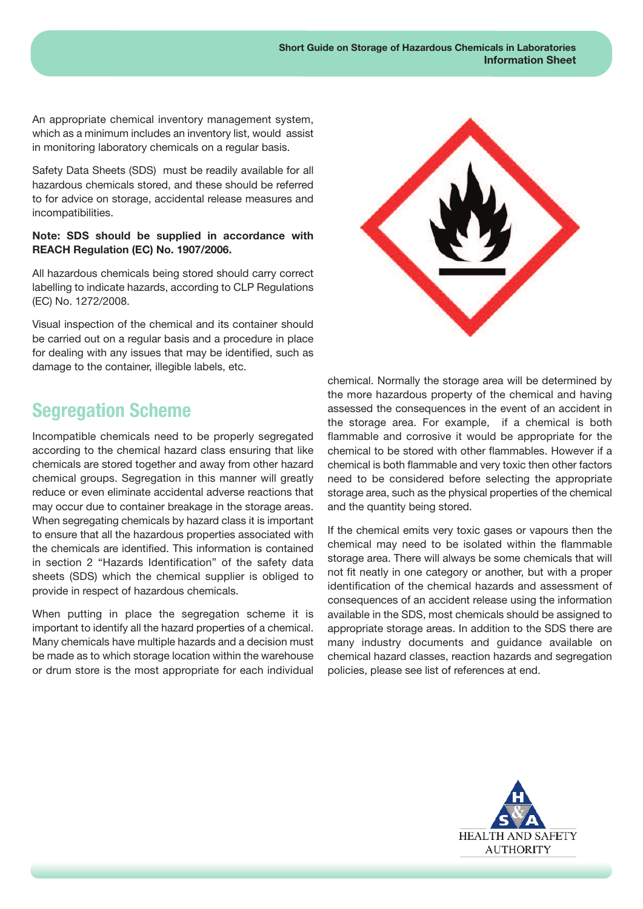An appropriate chemical inventory management system, which as a minimum includes an inventory list, would assist in monitoring laboratory chemicals on a regular basis.

Safety Data Sheets (SDS) must be readily available for all hazardous chemicals stored, and these should be referred to for advice on storage, accidental release measures and incompatibilities.

#### **Note: SDS should be supplied in accordance with REACH Regulation (EC) No. 1907/2006.**

All hazardous chemicals being stored should carry correct labelling to indicate hazards, according to CLP Regulations (EC) No. 1272/2008.

Visual inspection of the chemical and its container should be carried out on a regular basis and a procedure in place for dealing with any issues that may be identified, such as damage to the container, illegible labels, etc.

# **Segregation Scheme**

Incompatible chemicals need to be properly segregated according to the chemical hazard class ensuring that like chemicals are stored together and away from other hazard chemical groups. Segregation in this manner will greatly reduce or even eliminate accidental adverse reactions that may occur due to container breakage in the storage areas. When segregating chemicals by hazard class it is important to ensure that all the hazardous properties associated with the chemicals are identified. This information is contained in section 2 "Hazards Identification" of the safety data sheets (SDS) which the chemical supplier is obliged to provide in respect of hazardous chemicals.

When putting in place the segregation scheme it is important to identify all the hazard properties of a chemical. Many chemicals have multiple hazards and a decision must be made as to which storage location within the warehouse or drum store is the most appropriate for each individual



chemical. Normally the storage area will be determined by the more hazardous property of the chemical and having assessed the consequences in the event of an accident in the storage area. For example, if a chemical is both flammable and corrosive it would be appropriate for the chemical to be stored with other flammables. However if a chemical is both flammable and very toxic then other factors need to be considered before selecting the appropriate storage area, such as the physical properties of the chemical and the quantity being stored.

If the chemical emits very toxic gases or vapours then the chemical may need to be isolated within the flammable storage area. There will always be some chemicals that will not fit neatly in one category or another, but with a proper identification of the chemical hazards and assessment of consequences of an accident release using the information available in the SDS, most chemicals should be assigned to appropriate storage areas. In addition to the SDS there are many industry documents and guidance available on chemical hazard classes, reaction hazards and segregation policies, please see list of references at end.

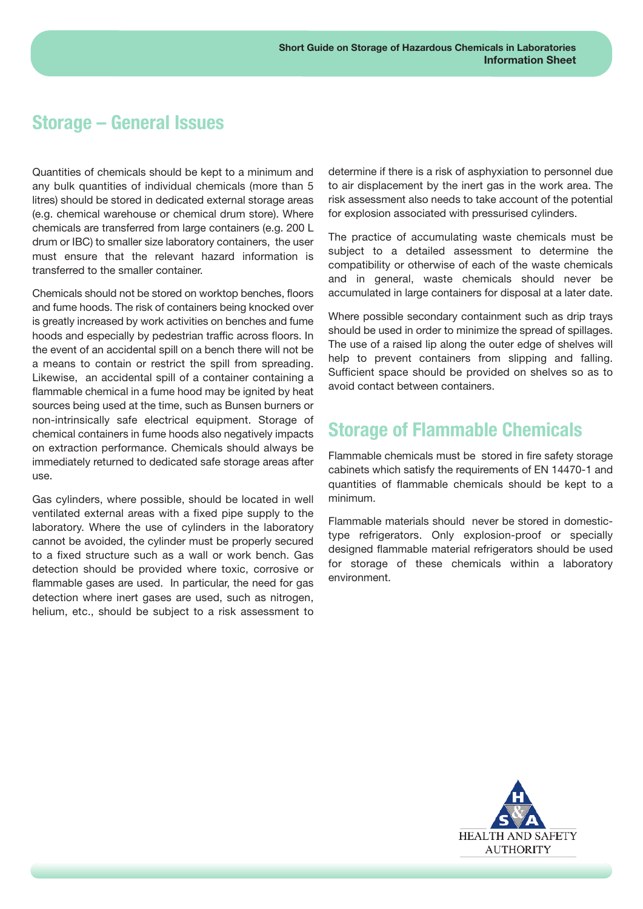#### **Storage – General Issues**

Quantities of chemicals should be kept to a minimum and any bulk quantities of individual chemicals (more than 5 litres) should be stored in dedicated external storage areas (e.g. chemical warehouse or chemical drum store). Where chemicals are transferred from large containers (e.g. 200 L drum or IBC) to smaller size laboratory containers, the user must ensure that the relevant hazard information is transferred to the smaller container.

Chemicals should not be stored on worktop benches, floors and fume hoods. The risk of containers being knocked over is greatly increased by work activities on benches and fume hoods and especially by pedestrian traffic across floors. In the event of an accidental spill on a bench there will not be a means to contain or restrict the spill from spreading. Likewise, an accidental spill of a container containing a flammable chemical in a fume hood may be ignited by heat sources being used at the time, such as Bunsen burners or non-intrinsically safe electrical equipment. Storage of chemical containers in fume hoods also negatively impacts on extraction performance. Chemicals should always be immediately returned to dedicated safe storage areas after use.

Gas cylinders, where possible, should be located in well ventilated external areas with a fixed pipe supply to the laboratory. Where the use of cylinders in the laboratory cannot be avoided, the cylinder must be properly secured to a fixed structure such as a wall or work bench. Gas detection should be provided where toxic, corrosive or flammable gases are used. In particular, the need for gas detection where inert gases are used, such as nitrogen, helium, etc., should be subject to a risk assessment to

determine if there is a risk of asphyxiation to personnel due to air displacement by the inert gas in the work area. The risk assessment also needs to take account of the potential for explosion associated with pressurised cylinders.

The practice of accumulating waste chemicals must be subject to a detailed assessment to determine the compatibility or otherwise of each of the waste chemicals and in general, waste chemicals should never be accumulated in large containers for disposal at a later date.

Where possible secondary containment such as drip trays should be used in order to minimize the spread of spillages. The use of a raised lip along the outer edge of shelves will help to prevent containers from slipping and falling. Sufficient space should be provided on shelves so as to avoid contact between containers.

## **Storage of Flammable Chemicals**

Flammable chemicals must be stored in fire safety storage cabinets which satisfy the requirements of EN 14470-1 and quantities of flammable chemicals should be kept to a minimum.

Flammable materials should never be stored in domestictype refrigerators. Only explosion-proof or specially designed flammable material refrigerators should be used for storage of these chemicals within a laboratory environment.